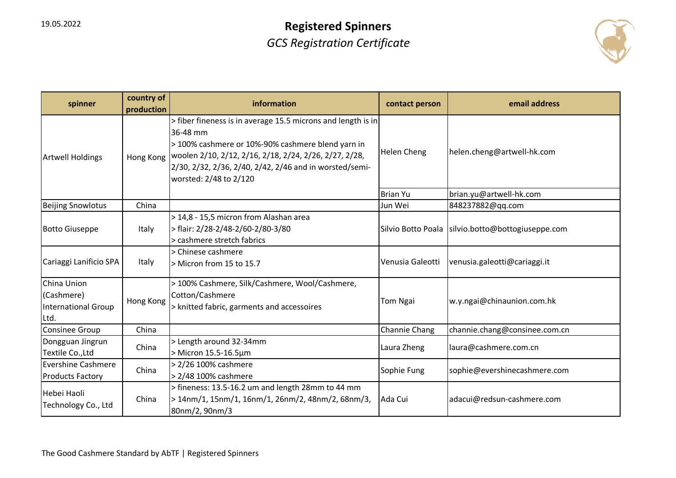

| spinner                                                  | country of<br>production | information                                                                                                                                                                                                                                                                  | contact person     | email address                  |
|----------------------------------------------------------|--------------------------|------------------------------------------------------------------------------------------------------------------------------------------------------------------------------------------------------------------------------------------------------------------------------|--------------------|--------------------------------|
| <b>Artwell Holdings</b>                                  | Hong Kong                | > fiber fineness is in average 15.5 microns and length is in<br>36-48 mm<br>> 100% cashmere or 10%-90% cashmere blend yarn in<br>woolen 2/10, 2/12, 2/16, 2/18, 2/24, 2/26, 2/27, 2/28,<br>2/30, 2/32, 2/36, 2/40, 2/42, 2/46 and in worsted/semi-<br>worsted: 2/48 to 2/120 | <b>Helen Cheng</b> | helen.cheng@artwell-hk.com     |
|                                                          |                          |                                                                                                                                                                                                                                                                              | <b>Brian Yu</b>    | brian.yu@artwell-hk.com        |
| <b>Beijing Snowlotus</b>                                 | China                    |                                                                                                                                                                                                                                                                              | Jun Wei            | 848237882@qq.com               |
| <b>Botto Giuseppe</b>                                    | Italy                    | > 14,8 - 15,5 micron from Alashan area<br>> flair: 2/28-2/48-2/60-2/80-3/80<br>> cashmere stretch fabrics                                                                                                                                                                    | Silvio Botto Poala | silvio.botto@bottogiuseppe.com |
| Cariaggi Lanificio SPA                                   | Italy                    | > Chinese cashmere<br>> Micron from 15 to 15.7                                                                                                                                                                                                                               | Venusia Galeotti   | venusia.galeotti@cariaggi.it   |
| China Union<br>(Cashmere)<br>International Group<br>Ltd. | Hong Kong                | > 100% Cashmere, Silk/Cashmere, Wool/Cashmere,<br>Cotton/Cashmere<br>> knitted fabric, garments and accessoires                                                                                                                                                              | <b>Tom Ngai</b>    | w.y.ngai@chinaunion.com.hk     |
| Consinee Group                                           | China                    |                                                                                                                                                                                                                                                                              | Channie Chang      | channie.chang@consinee.com.cn  |
| Dongguan Jingrun<br>Textile Co., Ltd                     | China                    | > Length around 32-34mm<br>> Micron 15.5-16.5µm                                                                                                                                                                                                                              | Laura Zheng        | laura@cashmere.com.cn          |
| <b>Evershine Cashmere</b><br><b>Products Factory</b>     | China                    | > 2/26 100% cashmere<br>> 2/48 100% cashmere                                                                                                                                                                                                                                 | Sophie Fung        | sophie@evershinecashmere.com   |
| Hebei Haoli<br>Technology Co., Ltd                       | China                    | > fineness: 13.5-16.2 um and length 28mm to 44 mm<br>> 14nm/1, 15nm/1, 16nm/1, 26nm/2, 48nm/2, 68nm/3,<br>80nm/2, 90nm/3                                                                                                                                                     | Ada Cui            | adacui@redsun-cashmere.com     |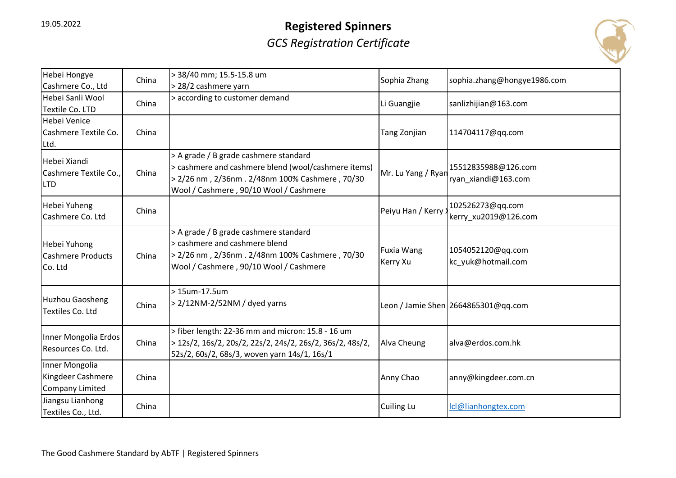

| Hebei Hongye<br>Cashmere Co., Ltd                             | China | > 38/40 mm; 15.5-15.8 um<br>> 28/2 cashmere yarn                                                                                                                                         | Sophia Zhang                  | sophia.zhang@hongye1986.com                |
|---------------------------------------------------------------|-------|------------------------------------------------------------------------------------------------------------------------------------------------------------------------------------------|-------------------------------|--------------------------------------------|
| Hebei Sanli Wool<br>Textile Co. LTD                           | China | > according to customer demand                                                                                                                                                           | Li Guangjie                   | sanlizhijian@163.com                       |
| Hebei Venice<br>Cashmere Textile Co.<br>Ltd.                  | China |                                                                                                                                                                                          | Tang Zonjian                  | 114704117@qq.com                           |
| Hebei Xiandi<br>Cashmere Textile Co.,<br><b>LTD</b>           | China | > A grade / B grade cashmere standard<br>> cashmere and cashmere blend (wool/cashmere items)<br>> 2/26 nm, 2/36nm. 2/48nm 100% Cashmere, 70/30<br>Wool / Cashmere, 90/10 Wool / Cashmere | Mr. Lu Yang / Ryan            | 15512835988@126.com<br>ryan_xiandi@163.com |
| Hebei Yuheng<br>Cashmere Co. Ltd                              | China |                                                                                                                                                                                          | Peiyu Han / Kerry             | 102526273@qq.com<br>kerry xu2019@126.com   |
| Hebei Yuhong<br><b>Cashmere Products</b><br>Co. Ltd           | China | > A grade / B grade cashmere standard<br>> cashmere and cashmere blend<br>> 2/26 nm, 2/36nm. 2/48nm 100% Cashmere, 70/30<br>Wool / Cashmere, 90/10 Wool / Cashmere                       | <b>Fuxia Wang</b><br>Kerry Xu | 1054052120@qq.com<br>kc_yuk@hotmail.com    |
| <b>Huzhou Gaosheng</b><br>Textiles Co. Ltd                    | China | > 15um-17.5um<br>> 2/12NM-2/52NM / dyed yarns                                                                                                                                            |                               | Leon / Jamie Shen 2664865301@qq.com        |
| Inner Mongolia Erdos<br>Resources Co. Ltd.                    | China | > fiber length: 22-36 mm and micron: 15.8 - 16 um<br>> 12s/2, 16s/2, 20s/2, 22s/2, 24s/2, 26s/2, 36s/2, 48s/2,<br>52s/2, 60s/2, 68s/3, woven yarn 14s/1, 16s/1                           | Alva Cheung                   | alva@erdos.com.hk                          |
| Inner Mongolia<br>Kingdeer Cashmere<br><b>Company Limited</b> | China |                                                                                                                                                                                          | Anny Chao                     | anny@kingdeer.com.cn                       |
| Jiangsu Lianhong<br>Textiles Co., Ltd.                        | China |                                                                                                                                                                                          | <b>Cuiling Lu</b>             | Icl@lianhongtex.com                        |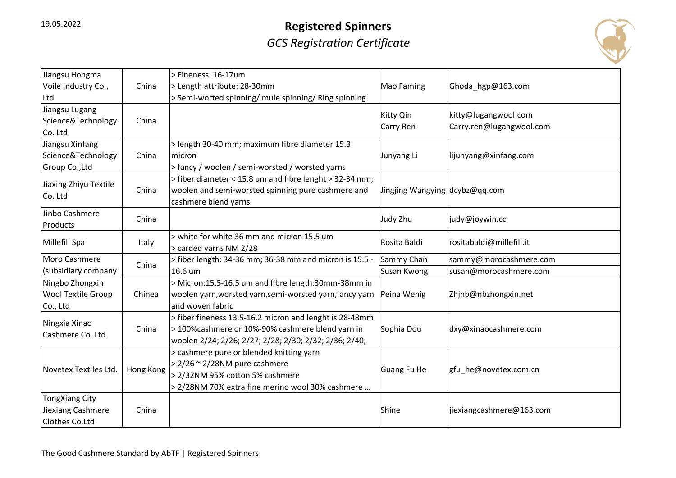

| Jiangsu Hongma<br>Voile Industry Co.,                    | China     | > Fineness: 16-17um<br>> Length attribute: 28-30mm                                                                                                                        | <b>Mao Faming</b>              | Ghoda_hgp@163.com                                |
|----------------------------------------------------------|-----------|---------------------------------------------------------------------------------------------------------------------------------------------------------------------------|--------------------------------|--------------------------------------------------|
| Ltd                                                      |           | > Semi-worted spinning/ mule spinning/ Ring spinning                                                                                                                      |                                |                                                  |
| Jiangsu Lugang<br>Science&Technology<br>Co. Ltd          | China     |                                                                                                                                                                           | Kitty Qin<br><b>Carry Ren</b>  | kitty@lugangwool.com<br>Carry.ren@lugangwool.com |
| Jiangsu Xinfang                                          |           | > length 30-40 mm; maximum fibre diameter 15.3                                                                                                                            |                                |                                                  |
| Science&Technology                                       | China     | micron                                                                                                                                                                    | Junyang Li                     | lijunyang@xinfang.com                            |
| Group Co., Ltd                                           |           | > fancy / woolen / semi-worsted / worsted yarns                                                                                                                           |                                |                                                  |
| Jiaxing Zhiyu Textile<br>Co. Ltd                         | China     | > fiber diameter < 15.8 um and fibre lenght > 32-34 mm;<br>woolen and semi-worsted spinning pure cashmere and<br>cashmere blend yarns                                     | Jingjing Wangying dcybz@qq.com |                                                  |
| Jinbo Cashmere<br>Products                               | China     |                                                                                                                                                                           | Judy Zhu                       | judy@joywin.cc                                   |
| Millefili Spa                                            | Italy     | > white for white 36 mm and micron 15.5 um<br>> carded yarns NM 2/28                                                                                                      | Rosita Baldi                   | rositabaldi@millefili.it                         |
| Moro Cashmere                                            | China     | > fiber length: 34-36 mm; 36-38 mm and micron is 15.5 -                                                                                                                   | Sammy Chan                     | sammy@morocashmere.com                           |
| (subsidiary company                                      |           | 16.6 um                                                                                                                                                                   | Susan Kwong                    | susan@morocashmere.com                           |
| Ningbo Zhongxin<br><b>Wool Textile Group</b><br>Co., Ltd | Chinea    | > Micron:15.5-16.5 um and fibre length:30mm-38mm in<br>woolen yarn, worsted yarn, semi-worsted yarn, fancy yarn<br>and woven fabric                                       | Peina Wenig                    | Zhjhb@nbzhongxin.net                             |
| Ningxia Xinao<br>Cashmere Co. Ltd                        | China     | > fiber fineness 13.5-16.2 micron and lenght is 28-48mm<br>> 100%cashmere or 10%-90% cashmere blend yarn in<br>woolen 2/24; 2/26; 2/27; 2/28; 2/30; 2/32; 2/36; 2/40;     | Sophia Dou                     | dxy@xinaocashmere.com                            |
| Novetex Textiles Ltd.                                    | Hong Kong | > cashmere pure or blended knitting yarn<br>$> 2/26 \approx 2/28$ NM pure cashmere<br>> 2/32NM 95% cotton 5% cashmere<br>> 2/28NM 70% extra fine merino wool 30% cashmere | Guang Fu He                    | gfu_he@novetex.com.cn                            |
| TongXiang City<br>Jiexiang Cashmere<br>Clothes Co.Ltd    | China     |                                                                                                                                                                           | Shine                          | jiexiangcashmere@163.com                         |